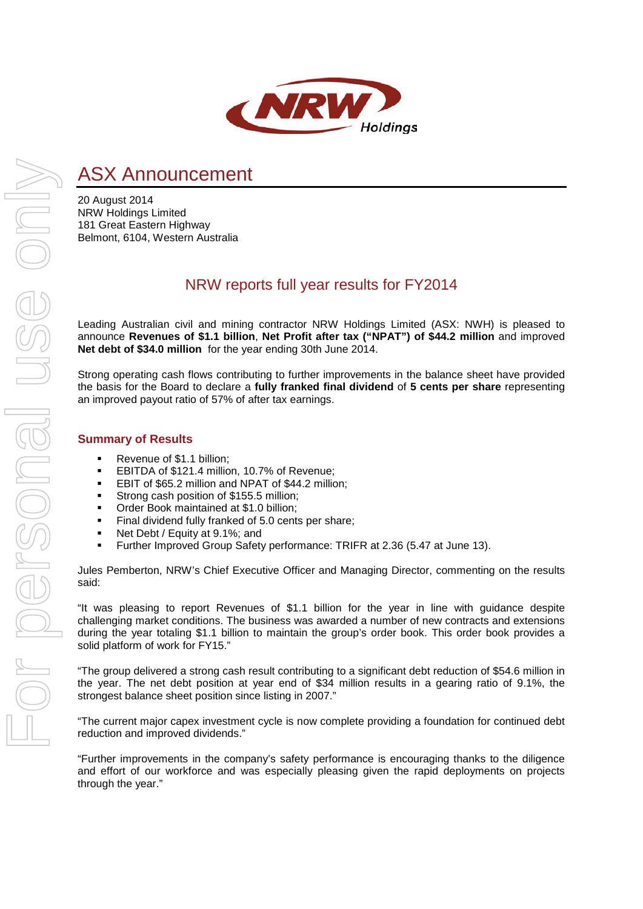

# ASX Announcement

20 August 2014 NRW Holdings Limited 181 Great Eastern Highway Belmont, 6104, Western Australia

## NRW reports full year results for FY2014

Leading Australian civil and mining contractor NRW Holdings Limited (ASX: NWH) is pleased to announce **Revenues of \$1.1 billion**, **Net Profit after tax ("NPAT") of \$44.2 million** and improved **Net debt of \$34.0 million** for the year ending 30th June 2014.

Strong operating cash flows contributing to further improvements in the balance sheet have provided the basis for the Board to declare a **fully franked final dividend** of **5 cents per share** representing an improved payout ratio of 57% of after tax earnings.

## **Summary of Results**

- Revenue of \$1.1 billion;
- **EBITDA of \$121.4 million, 10.7% of Revenue;**
- **EBIT of \$65.2 million and NPAT of \$44.2 million;**
- **Strong cash position of \$155.5 million;**
- Order Book maintained at \$1.0 billion;
- **Final dividend fully franked of 5.0 cents per share;**
- Net Debt / Equity at 9.1%; and
- Further Improved Group Safety performance: TRIFR at 2.36 (5.47 at June 13).

Jules Pemberton, NRW's Chief Executive Officer and Managing Director, commenting on the results said:

"It was pleasing to report Revenues of \$1.1 billion for the year in line with guidance despite challenging market conditions. The business was awarded a number of new contracts and extensions during the year totaling \$1.1 billion to maintain the group's order book. This order book provides a solid platform of work for FY15."

"The group delivered a strong cash result contributing to a significant debt reduction of \$54.6 million in the year. The net debt position at year end of \$34 million results in a gearing ratio of 9.1%, the strongest balance sheet position since listing in 2007.'

"The current major capex investment cycle is now complete providing a foundation for continued debt reduction and improved dividends."

"Further improvements in the company's safety performance is encouraging thanks to the diligence and effort of our workforce and was especially pleasing given the rapid deployments on projects through the year."